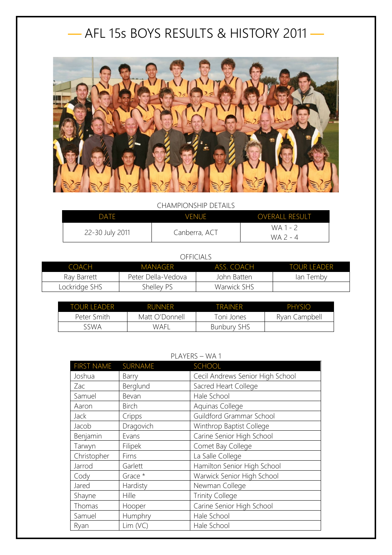## — AFL 15s BOYS RESULTS & HISTORY 2011 —



CHAMPIONSHIP DETAILS

| DATE.           | <b>VENUE</b>  | <b>OVERALL RESULT</b> |
|-----------------|---------------|-----------------------|
| 22-30 July 2011 | Canberra, ACT | WA 1 - 2<br>WA 2 - 4  |

## OFFICIALS

| <b>COACH</b>  | MANAGFR            | ASS. COACH  | <b>TOUR LEADER</b> |
|---------------|--------------------|-------------|--------------------|
| Ray Barrett   | Peter Della-Vedova | John Batten | lan Temby          |
| Lockridge SHS | Shelley PS         | Warwick SHS |                    |

| TOUR LEADER | <b>RUNNER</b>  | <b>TRAINFR</b>     | PHYSIO        |
|-------------|----------------|--------------------|---------------|
| Peter Smith | Matt O'Donnell | Toni Jones         | Ryan Campbell |
| sswa        | WAFI           | <b>Bunbury SHS</b> |               |

## PLAYERS – WA 1

| <b>FIRST NAME</b> | SURNAME      | SCHOOL                           |
|-------------------|--------------|----------------------------------|
| Joshua            | Barry        | Cecil Andrews Senior High School |
| Zac               | Berglund     | Sacred Heart College             |
| Samuel            | Bevan        | Hale School                      |
| Aaron             | <b>Birch</b> | Aquinas College                  |
| <b>Jack</b>       | Cripps       | Guildford Grammar School         |
| Jacob             | Dragovich    | Winthrop Baptist College         |
| Benjamin          | Evans        | Carine Senior High School        |
| Tarwyn            | Filipek      | Comet Bay College                |
| Christopher       | Firns        | La Salle College                 |
| Jarrod            | Garlett      | Hamilton Senior High School      |
| Cody              | Grace *      | Warwick Senior High School       |
| Jared             | Hardisty     | Newman College                   |
| Shayne            | Hille        | <b>Trinity College</b>           |
| Thomas            | Hooper       | Carine Senior High School        |
| Samuel            | Humphry      | Hale School                      |
| Ryan              | Lim (VC)     | Hale School                      |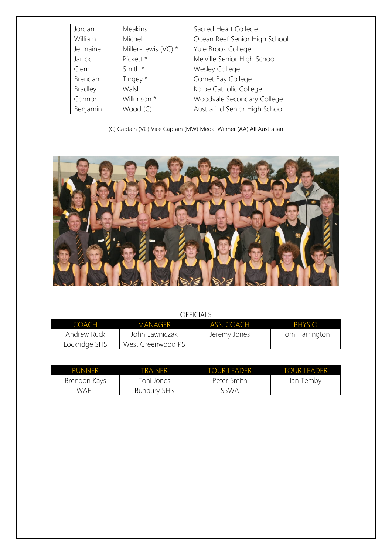| Jordan         | <b>Meakins</b>      | Sacred Heart College          |
|----------------|---------------------|-------------------------------|
| William        | Michell             | Ocean Reef Senior High School |
| Jermaine       | Miller-Lewis (VC) * | Yule Brook College            |
| Jarrod         | Pickett *           | Melville Senior High School   |
| Clem           | Smith *             | <b>Wesley College</b>         |
| Brendan        | Tingey *            | Comet Bay College             |
| <b>Bradley</b> | Walsh               | Kolbe Catholic College        |
| Connor         | Wilkinson *         | Woodvale Secondary College    |
| Benjamin       | Wood (C)            | Australind Senior High School |

(C) Captain (VC) Vice Captain (MW) Medal Winner (AA) All Australian



## OFFICIALS

| COACH         | MANAGER           | ASS COACH    | PHYSIO         |
|---------------|-------------------|--------------|----------------|
| Andrew Ruck   | John Lawniczak    | Jeremy Jones | Tom Harrington |
| Lockridge SHS | West Greenwood PS |              |                |

| <b>RUNNER</b> | TRAINFR            | TOUR LEADER | TOUR LEADER |
|---------------|--------------------|-------------|-------------|
| Brendon Kays  | Toni Jones         | Peter Smith | lan Temby   |
| WAFI          | <b>Bunbury SHS</b> | 5SWA        |             |